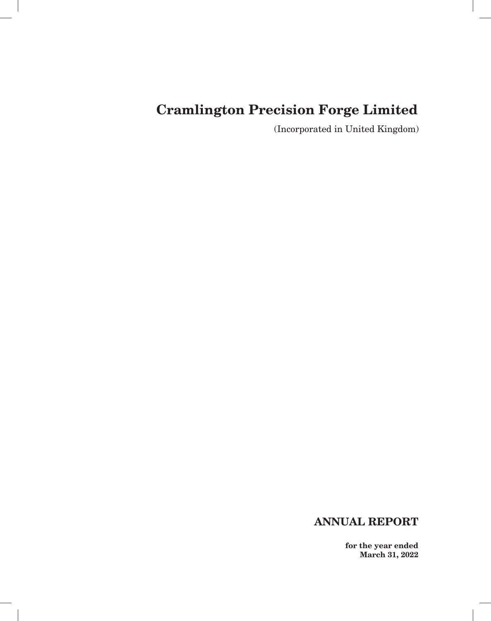# **Cramlington Precision Forge Limited**

(Incorporated in United Kingdom)

# **ANNUAL REPORT**

**for the year ended March 31, 2022**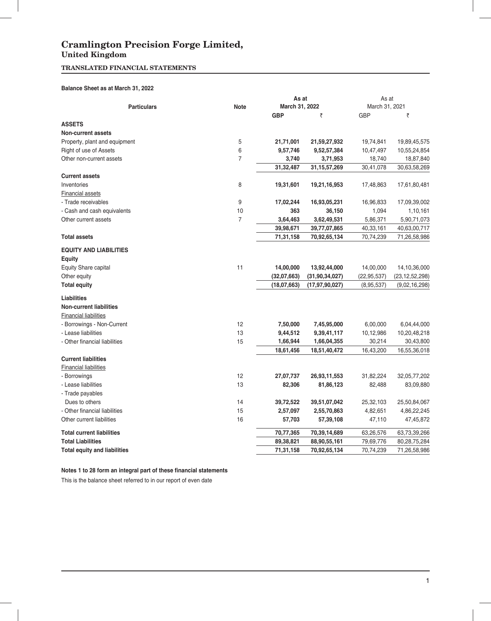## **Cramlington Precision Forge Limited, United Kingdom**

### **TRANSLATED FINANCIAL STATEMENTS**

### **Balance Sheet as at March 31, 2022**

|                                      |                | As at          |                                   | As at<br>March 31, 2021    |                                   |  |
|--------------------------------------|----------------|----------------|-----------------------------------|----------------------------|-----------------------------------|--|
| <b>Particulars</b>                   | <b>Note</b>    | March 31, 2022 |                                   |                            |                                   |  |
|                                      |                | <b>GBP</b>     | ₹                                 | <b>GBP</b>                 | ₹                                 |  |
| <b>ASSETS</b>                        |                |                |                                   |                            |                                   |  |
| Non-current assets                   |                |                |                                   |                            |                                   |  |
| Property, plant and equipment        | 5              | 21,71,001      | 21,59,27,932                      | 19,74,841                  | 19,89,45,575                      |  |
| Right of use of Assets               | 6              | 9,57,746       | 9,52,57,384                       | 10,47,497                  | 10,55,24,854                      |  |
| Other non-current assets             | $\overline{7}$ | 3,740          | 3,71,953                          | 18,740                     | 18,87,840                         |  |
|                                      |                | 31,32,487      | 31, 15, 57, 269                   | 30,41,078                  | 30,63,58,269                      |  |
| <b>Current assets</b>                |                |                |                                   |                            |                                   |  |
| Inventories                          | 8              | 19,31,601      | 19,21,16,953                      | 17,48,863                  | 17,61,80,481                      |  |
| Financial assets                     |                |                |                                   |                            |                                   |  |
| - Trade receivables                  | 9              | 17,02,244      | 16,93,05,231                      | 16,96,833                  | 17,09,39,002                      |  |
| - Cash and cash equivalents          | 10             | 363            | 36,150                            | 1,094                      | 1,10,161                          |  |
| Other current assets                 | $\overline{7}$ | 3,64,463       | 3,62,49,531                       | 5,86,371                   | 5,90,71,073                       |  |
|                                      |                | 39,98,671      | 39,77,07,865                      | 40,33,161                  | 40,63,00,717                      |  |
| <b>Total assets</b>                  |                | 71,31,158      | 70,92,65,134                      | 70,74,239                  | 71,26,58,986                      |  |
| <b>EQUITY AND LIABILITIES</b>        |                |                |                                   |                            |                                   |  |
|                                      |                |                |                                   |                            |                                   |  |
| Equity                               | 11             | 14,00,000      |                                   |                            |                                   |  |
| Equity Share capital<br>Other equity |                | (32,07,663)    | 13,92,44,000<br>(31, 90, 34, 027) | 14,00,000<br>(22, 95, 537) | 14,10,36,000<br>(23, 12, 52, 298) |  |
| <b>Total equity</b>                  |                | (18,07,663)    | (17, 97, 90, 027)                 |                            |                                   |  |
|                                      |                |                |                                   | (8,95,537)                 | (9,02,16,298)                     |  |
| <b>Liabilities</b>                   |                |                |                                   |                            |                                   |  |
| <b>Non-current liabilities</b>       |                |                |                                   |                            |                                   |  |
| <b>Financial liabilities</b>         |                |                |                                   |                            |                                   |  |
| - Borrowings - Non-Current           | 12             | 7,50,000       | 7,45,95,000                       | 6,00,000                   | 6,04,44,000                       |  |
| - Lease liabilities                  | 13             | 9,44,512       | 9,39,41,117                       | 10,12,986                  | 10,20,48,218                      |  |
| - Other financial liabilities        | 15             | 1,66,944       | 1,66,04,355                       | 30,214                     | 30,43,800                         |  |
|                                      |                | 18,61,456      | 18,51,40,472                      | 16,43,200                  | 16,55,36,018                      |  |
| <b>Current liabilities</b>           |                |                |                                   |                            |                                   |  |
| <b>Financial liabilities</b>         |                |                |                                   |                            |                                   |  |
| - Borrowings                         | 12             | 27,07,737      | 26,93,11,553                      | 31,82,224                  | 32,05,77,202                      |  |
| - Lease liabilities                  | 13             | 82,306         | 81,86,123                         | 82,488                     | 83,09,880                         |  |
| - Trade payables                     |                |                |                                   |                            |                                   |  |
| Dues to others                       | 14             | 39,72,522      | 39,51,07,042                      | 25,32,103                  | 25,50,84,067                      |  |
| - Other financial liabilities        | 15             | 2,57,097       | 2,55,70,863                       | 4,82,651                   | 4,86,22,245                       |  |
| Other current liabilities            | 16             | 57,703         | 57,39,108                         | 47,110                     | 47,45,872                         |  |
| <b>Total current liabilities</b>     |                | 70,77,365      | 70,39,14,689                      | 63,26,576                  | 63,73,39,266                      |  |
| <b>Total Liabilities</b>             |                | 89,38,821      | 88,90,55,161                      | 79,69,776                  | 80,28,75,284                      |  |
| <b>Total equity and liabilities</b>  |                | 71,31,158      | 70,92,65,134                      | 70,74,239                  | 71,26,58,986                      |  |

### Notes 1 to 28 form an integral part of these financial statements

This is the balance sheet referred to in our report of even date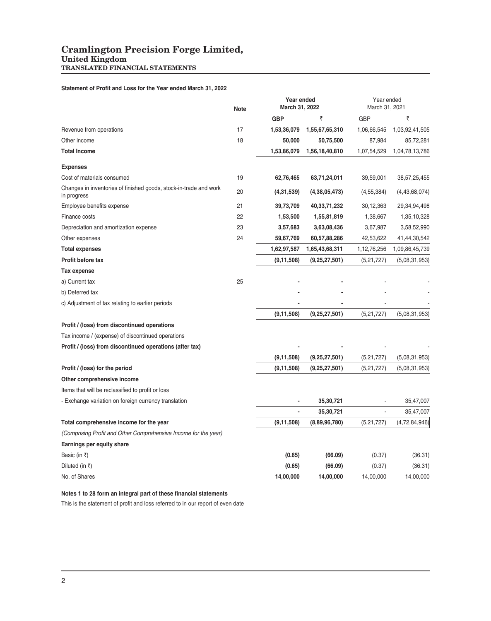**United Kingdom TRANSLATED FINANCIAL STATEMENTS**

### **Statement of Profit and Loss for the Year ended March 31, 2022**

|                                                                                  | <b>Note</b> | Year ended<br>March 31, 2022 |                  | Year ended<br>March 31, 2021 |                |  |
|----------------------------------------------------------------------------------|-------------|------------------------------|------------------|------------------------------|----------------|--|
|                                                                                  |             | <b>GBP</b>                   | ₹                | <b>GBP</b>                   | ₹              |  |
| Revenue from operations                                                          | 17          | 1,53,36,079                  | 1,55,67,65,310   | 1,06,66,545                  | 1,03,92,41,505 |  |
| Other income                                                                     | 18          | 50,000                       | 50,75,500        | 87,984                       | 85,72,281      |  |
| <b>Total Income</b>                                                              |             | 1,53,86,079                  | 1,56,18,40,810   | 1,07,54,529                  | 1,04,78,13,786 |  |
| <b>Expenses</b>                                                                  |             |                              |                  |                              |                |  |
| Cost of materials consumed                                                       | 19          | 62,76,465                    | 63,71,24,011     | 39,59,001                    | 38,57,25,455   |  |
| Changes in inventories of finished goods, stock-in-trade and work<br>in progress | 20          | (4,31,539)                   | (4,38,05,473)    | (4, 55, 384)                 | (4,43,68,074)  |  |
| Employee benefits expense                                                        | 21          | 39,73,709                    | 40,33,71,232     | 30,12,363                    | 29,34,94,498   |  |
| Finance costs                                                                    | 22          | 1,53,500                     | 1,55,81,819      | 1,38,667                     | 1,35,10,328    |  |
| Depreciation and amortization expense                                            | 23          | 3,57,683                     | 3,63,08,436      | 3,67,987                     | 3,58,52,990    |  |
| Other expenses                                                                   | 24          | 59,67,769                    | 60,57,88,286     | 42,53,622                    | 41,44,30,542   |  |
| <b>Total expenses</b>                                                            |             | 1,62,97,587                  | 1,65,43,68,311   | 1,12,76,256                  | 1,09,86,45,739 |  |
| Profit before tax                                                                |             | (9, 11, 508)                 | (9,25,27,501)    | (5,21,727)                   | (5,08,31,953)  |  |
| Tax expense                                                                      |             |                              |                  |                              |                |  |
| a) Current tax                                                                   | 25          |                              |                  |                              |                |  |
| b) Deferred tax                                                                  |             |                              |                  |                              |                |  |
| c) Adjustment of tax relating to earlier periods                                 |             |                              |                  |                              |                |  |
|                                                                                  |             | (9, 11, 508)                 | (9, 25, 27, 501) | (5,21,727)                   | (5,08,31,953)  |  |
| Profit / (loss) from discontinued operations                                     |             |                              |                  |                              |                |  |
| Tax income / (expense) of discontinued operations                                |             |                              |                  |                              |                |  |
| Profit / (loss) from discontinued operations (after tax)                         |             |                              |                  |                              |                |  |
|                                                                                  |             | (9, 11, 508)                 | (9,25,27,501)    | (5,21,727)                   | (5,08,31,953)  |  |
| Profit / (loss) for the period                                                   |             | (9, 11, 508)                 | (9,25,27,501)    | (5,21,727)                   | (5,08,31,953)  |  |
| Other comprehensive income                                                       |             |                              |                  |                              |                |  |
| Items that will be reclassified to profit or loss                                |             |                              |                  |                              |                |  |
| - Exchange variation on foreign currency translation                             |             |                              | 35,30,721        |                              | 35,47,007      |  |
|                                                                                  |             |                              | 35,30,721        |                              | 35,47,007      |  |
| Total comprehensive income for the year                                          |             | (9, 11, 508)                 | (8,89,96,780)    | (5,21,727)                   | (4,72,84,946)  |  |
| (Comprising Profit and Other Comprehensive Income for the year)                  |             |                              |                  |                              |                |  |
| Earnings per equity share                                                        |             |                              |                  |                              |                |  |
| Basic (in ₹)                                                                     |             | (0.65)                       | (66.09)          | (0.37)                       | (36.31)        |  |
| Diluted (in ₹)                                                                   |             | (0.65)                       | (66.09)          | (0.37)                       | (36.31)        |  |
| No. of Shares                                                                    |             | 14,00,000                    | 14,00,000        | 14,00,000                    | 14,00,000      |  |

### Notes 1 to 28 form an integral part of these financial statements

This is the statement of profit and loss referred to in our report of even date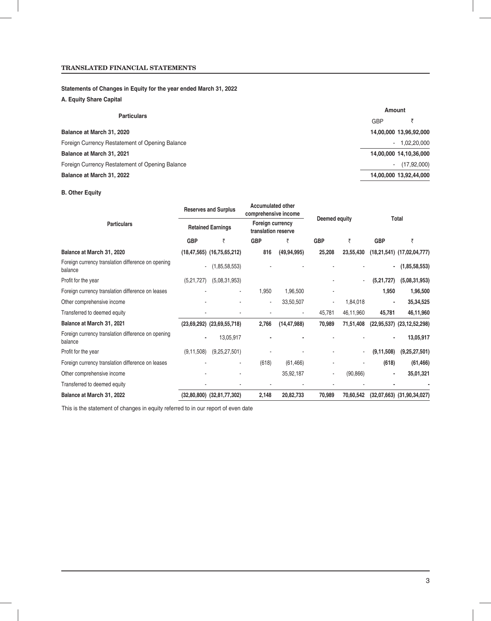### **Statements of Changes in Equity for the year ended March 31, 2022**

### **A. Equity Share Capital**

|                                                 | Amount         |                        |  |  |  |
|-------------------------------------------------|----------------|------------------------|--|--|--|
| <b>Particulars</b>                              | <b>GBP</b>     |                        |  |  |  |
| Balance at March 31, 2020                       |                | 14,00,000 13,96,92,000 |  |  |  |
| Foreign Currency Restatement of Opening Balance |                | $-1,02,20,000$         |  |  |  |
| Balance at March 31, 2021                       |                | 14,00,000 14,10,36,000 |  |  |  |
| Foreign Currency Restatement of Opening Balance | $\blacksquare$ | (17, 92, 000)          |  |  |  |
| Balance at March 31, 2022                       |                | 14,00,000 13,92,44,000 |  |  |  |

### **B. Other Equity**

|                                                               |              | <b>Reserves and Surplus</b><br><b>Retained Earnings</b> |            | <b>Accumulated other</b><br>comprehensive income | Deemed equity |           | Total        |                                |
|---------------------------------------------------------------|--------------|---------------------------------------------------------|------------|--------------------------------------------------|---------------|-----------|--------------|--------------------------------|
| <b>Particulars</b>                                            |              |                                                         |            | Foreign currency<br>translation reserve          |               |           |              |                                |
|                                                               | <b>GBP</b>   | ₹                                                       | <b>GBP</b> | ₹                                                | <b>GBP</b>    | ₹         | <b>GBP</b>   | ₹                              |
| Balance at March 31, 2020                                     |              | $(18, 47, 565)$ $(16, 75, 65, 212)$                     | 816        | (49, 94, 995)                                    | 25,208        | 23,55,430 |              | $(18,21,541)$ $(17,02,04,777)$ |
| Foreign currency translation difference on opening<br>balance | ٠            | (1,85,58,553)                                           |            |                                                  |               |           |              | (1,85,58,553)                  |
| Profit for the year                                           | (5,21,727)   | (5,08,31,953)                                           |            |                                                  |               |           | (5,21,727)   | (5,08,31,953)                  |
| Foreign currency translation difference on leases             |              | ٠                                                       | 1,950      | 1,96,500                                         |               |           | 1,950        | 1,96,500                       |
| Other comprehensive income                                    |              |                                                         | ٠          | 33,50,507                                        |               | 1,84,018  |              | 35,34,525                      |
| Transferred to deemed equity                                  |              |                                                         |            |                                                  | 45,781        | 46,11,960 | 45,781       | 46,11,960                      |
| Balance at March 31, 2021                                     |              | $(23,69,292)$ $(23,69,55,718)$                          | 2,766      | (14, 47, 988)                                    | 70,989        | 71,51,408 |              | $(22,95,537)$ $(23,12,52,298)$ |
| Foreign currency translation difference on opening<br>balance |              | 13,05,917                                               |            |                                                  |               |           |              | 13,05,917                      |
| Profit for the year                                           | (9, 11, 508) | (9,25,27,501)                                           |            |                                                  |               |           | (9, 11, 508) | (9,25,27,501)                  |
| Foreign currency translation difference on leases             |              |                                                         | (618)      | (61, 466)                                        |               |           | (618)        | (61, 466)                      |
| Other comprehensive income                                    |              |                                                         |            | 35,92,187                                        |               | (90, 866) |              | 35,01,321                      |
| Transferred to deemed equity                                  |              |                                                         |            |                                                  |               |           |              |                                |
| Balance at March 31, 2022                                     |              | $(32,80,800)$ $(32,81,77,302)$                          | 2,148      | 20,82,733                                        | 70,989        | 70,60,542 |              | $(32,07,663)$ $(31,90,34,027)$ |

This is the statement of changes in equity referred to in our report of even date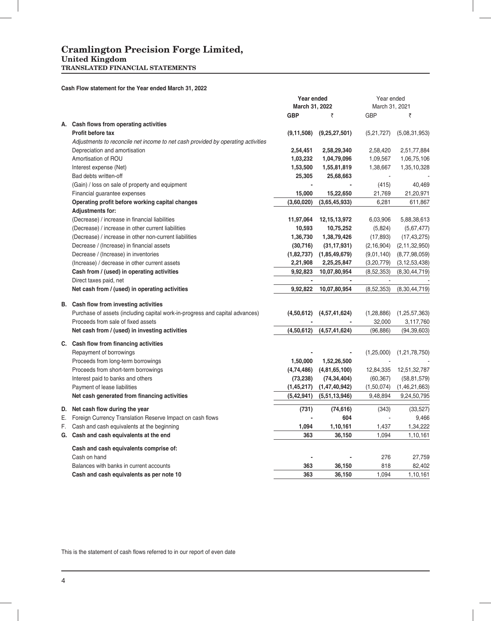#### **United Kingdom TRANSLATED FINANCIAL STATEMENTS**

### **Cash Flow statement for the Year ended March 31, 2022**

|                                                                                  | Year ended<br>March 31, 2022 |                              | Year ended     |                  |  |
|----------------------------------------------------------------------------------|------------------------------|------------------------------|----------------|------------------|--|
|                                                                                  |                              |                              | March 31, 2021 |                  |  |
|                                                                                  | <b>GBP</b>                   | ₹                            | <b>GBP</b>     | ₹                |  |
| A. Cash flows from operating activities                                          |                              |                              |                |                  |  |
| Profit before tax                                                                | (9, 11, 508)                 | (9,25,27,501)                | (5,21,727)     | (5,08,31,953)    |  |
| Adjustments to reconcile net income to net cash provided by operating activities |                              |                              |                |                  |  |
| Depreciation and amortisation                                                    | 2,54,451                     | 2,58,29,340                  | 2,58,420       | 2,51,77,884      |  |
| Amortisation of ROU                                                              | 1,03,232                     | 1,04,79,096                  | 1,09,567       | 1,06,75,106      |  |
| Interest expense (Net)                                                           | 1,53,500                     | 1,55,81,819                  | 1,38,667       | 1,35,10,328      |  |
| Bad debts written-off                                                            | 25,305                       | 25,68,663                    |                |                  |  |
| (Gain) / loss on sale of property and equipment                                  |                              |                              | (415)          | 40,469           |  |
| Financial guarantee expenses                                                     | 15,000                       | 15,22,650                    | 21,769         | 21,20,971        |  |
| Operating profit before working capital changes                                  | (3,60,020)                   | (3,65,45,933)                | 6,281          | 611,867          |  |
| <b>Adjustments for:</b>                                                          |                              |                              |                |                  |  |
| (Decrease) / increase in financial liabilities                                   | 11,97,064                    | 12, 15, 13, 972              | 6,03,906       | 5,88,38,613      |  |
| (Decrease) / increase in other current liabilities                               | 10,593                       | 10,75,252                    | (5,824)        | (5,67,477)       |  |
| (Decrease) / increase in other non-current liabilities                           | 1,36,730                     | 1,38,79,426                  | (17, 893)      | (17, 43, 275)    |  |
| Decrease / (Increase) in financial assets                                        | (30, 716)                    | (31, 17, 931)                | (2, 16, 904)   | (2, 11, 32, 950) |  |
| Decrease / (Increase) in inventories                                             |                              | $(1,82,737)$ $(1,85,49,679)$ | (9,01,140)     | (8,77,98,059)    |  |
| (Increase) / decrease in other current assets                                    | 2,21,908                     | 2,25,25,847                  | (3,20,779)     | (3, 12, 53, 438) |  |
| Cash from / (used) in operating activities                                       | 9,92,823                     | 10,07,80,954                 | (8, 52, 353)   | (8,30,44,719)    |  |
| Direct taxes paid, net                                                           | $\blacksquare$               |                              |                |                  |  |
| Net cash from / (used) in operating activities                                   | 9,92,822                     | 10,07,80,954                 | (8,52,353)     | (8,30,44,719)    |  |
|                                                                                  |                              |                              |                |                  |  |
| B. Cash flow from investing activities                                           |                              |                              |                |                  |  |
| Purchase of assets (including capital work-in-progress and capital advances)     | (4,50,612)                   | (4,57,41,624)                | (1, 28, 886)   | (1, 25, 57, 363) |  |
| Proceeds from sale of fixed assets                                               |                              |                              | 32,000         | 3,117,760        |  |
| Net cash from / (used) in investing activities                                   | (4,50,612)                   | (4,57,41,624)                | (96, 886)      | (94, 39, 603)    |  |
|                                                                                  |                              |                              |                |                  |  |
| C. Cash flow from financing activities                                           |                              |                              |                |                  |  |
| Repayment of borrowings                                                          |                              |                              | (1,25,000)     | (1, 21, 78, 750) |  |
| Proceeds from long-term borrowings                                               | 1,50,000                     | 1,52,26,500                  |                |                  |  |
| Proceeds from short-term borrowings                                              | (4,74,486)                   | (4,81,65,100)                | 12,84,335      | 12,51,32,787     |  |
| Interest paid to banks and others                                                | (73, 238)                    | (74, 34, 404)                | (60, 367)      | (58, 81, 579)    |  |
| Payment of lease liabilities                                                     | (1,45,217)                   | (1,47,40,942)                | (1,50,074)     | (1,46,21,663)    |  |
| Net cash generated from financing activities                                     | (5, 42, 941)                 | (5,51,13,946)                | 9,48,894       | 9,24,50,795      |  |
| D. Net cash flow during the year                                                 | (731)                        | (74, 616)                    | (343)          | (33, 527)        |  |
| E. Foreign Currency Translation Reserve Impact on cash flows                     |                              | 604                          |                | 9,466            |  |
| F. Cash and cash equivalents at the beginning                                    | 1,094                        | 1,10,161                     | 1,437          | 1,34,222         |  |
| G. Cash and cash equivalents at the end                                          | 363                          | 36,150                       | 1,094          | 1,10,161         |  |
| Cash and cash equivalents comprise of:                                           |                              |                              |                |                  |  |
| Cash on hand                                                                     |                              |                              | 276            | 27,759           |  |
| Balances with banks in current accounts                                          | 363                          | 36,150                       | 818            | 82,402           |  |
| Cash and cash equivalents as per note 10                                         | 363                          | 36,150                       | 1,094          | 1,10,161         |  |
|                                                                                  |                              |                              |                |                  |  |

This is the statement of cash flows referred to in our report of even date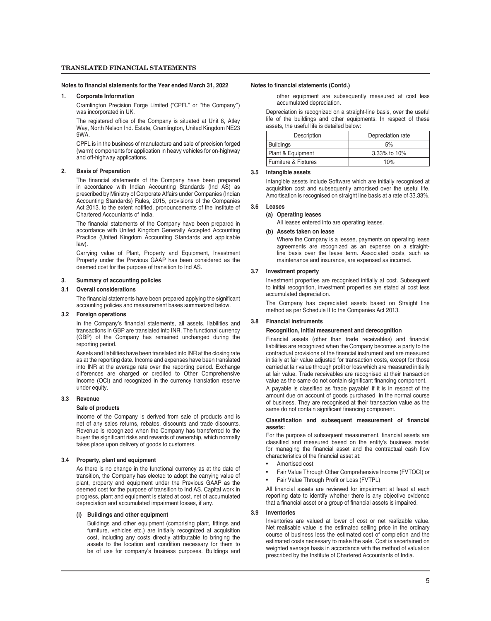#### Notes to financial statements for the Year ended March 31, 2022 Notes to financial statements (Contd.)

#### **1. Corporate Information**

 Cramlington Precision Forge Limited ("CPFL" or ''the Company'') was incorporated in UK.

The registered office of the Company is situated at Unit 8, Atley Way, North Nelson Ind. Estate, Cramlington, United Kingdom NE23 9WA.

 CPFL is in the business of manufacture and sale of precision forged (warm) components for application in heavy vehicles for on-highway and off-highway applications.

#### **2. Basis of Preparation**

The financial statements of the Company have been prepared in accordance with Indian Accounting Standards (Ind AS) as prescribed by Ministry of Corporate Affairs under Companies (Indian Accounting Standards) Rules, 2015, provisions of the Companies Act 2013, to the extent notified, pronouncements of the Institute of Chartered Accountants of India.

The financial statements of the Company have been prepared in accordance with United Kingdom Generally Accepted Accounting Practice (United Kingdom Accounting Standards and applicable law).

 Carrying value of Plant, Property and Equipment, Investment Property under the Previous GAAP has been considered as the deemed cost for the purpose of transition to Ind AS.

#### **3. Summary of accounting policies**

#### **3.1 Overall considerations**

The financial statements have been prepared applying the significant accounting policies and measurement bases summarized below.

#### **3.2 Foreign operations**

In the Company's financial statements, all assets, liabilities and transactions in GBP are translated into INR. The functional currency (GBP) of the Company has remained unchanged during the reporting period.

 Assets and liabilities have been translated into INR at the closing rate as at the reporting date. Income and expenses have been translated into INR at the average rate over the reporting period. Exchange differences are charged or credited to Other Comprehensive Income (OCI) and recognized in the currency translation reserve under equity.

#### **3.3 Revenue**

#### **Sale of products**

 Income of the Company is derived from sale of products and is net of any sales returns, rebates, discounts and trade discounts. Revenue is recognized when the Company has transferred to the buver the significant risks and rewards of ownership, which normally takes place upon delivery of goods to customers.

#### **3.4 Property, plant and equipment**

 As there is no change in the functional currency as at the date of transition, the Company has elected to adopt the carrying value of plant, property and equipment under the Previous GAAP as the deemed cost for the purpose of transition to Ind AS. Capital work in progress, plant and equipment is stated at cost, net of accumulated depreciation and accumulated impairment losses, if any.

#### **(i) Buildings and other equipment**

Buildings and other equipment (comprising plant, fittings and furniture, vehicles etc.) are initially recognized at acquisition cost, including any costs directly attributable to bringing the assets to the location and condition necessary for them to be of use for company's business purposes. Buildings and

other equipment are subsequently measured at cost less accumulated depreciation.

 Depreciation is recognized on a straight-line basis, over the useful life of the buildings and other equipments. In respect of these assets, the useful life is detailed below:

| Description          | Depreciation rate |  |  |  |  |  |
|----------------------|-------------------|--|--|--|--|--|
| Buildings            | 5%                |  |  |  |  |  |
| Plant & Equipment    | 3.33% to 10%      |  |  |  |  |  |
| Furniture & Fixtures | 10%               |  |  |  |  |  |

#### **3.5 Intangible assets**

 Intangible assets include Software which are initially recognised at acquisition cost and subsequently amortised over the useful life. Amortisation is recognised on straight line basis at a rate of 33.33%.

#### **3.6 Leases**

#### **(a) Operating leases**

All leases entered into are operating leases.

#### **(b) Assets taken on lease**

 Where the Company is a lessee, payments on operating lease agreements are recognized as an expense on a straightline basis over the lease term. Associated costs, such as maintenance and insurance, are expensed as incurred.

#### **3.7 Investment property**

 Investment properties are recognised initially at cost. Subsequent to initial recognition, investment properties are stated at cost less accumulated depreciation.

 The Company has depreciated assets based on Straight line method as per Schedule II to the Companies Act 2013.

#### **3.8 Financial instruments**

### **Recognition, initial measurement and derecognition**

Financial assets (other than trade receivables) and financial liabilities are recognized when the Company becomes a party to the contractual provisions of the financial instrument and are measured initially at fair value adjusted for transaction costs, except for those carried at fair value through profit or loss which are measured initially at fair value. Trade receivables are recognised at their transaction value as the same do not contain significant financing component.

A payable is classified as 'trade payable' if it is in respect of the amount due on account of goods purchased in the normal course of business. They are recognised at their transaction value as the same do not contain significant financing component.

#### **Classification and subsequent measurement of financial assets:**

For the purpose of subsequent measurement, financial assets are classified and measured based on the entity's business model for managing the financial asset and the contractual cash flow characteristics of the financial asset at:

- Amortised cost
- Fair Value Through Other Comprehensive Income (FVTOCI) or
- Fair Value Through Profit or Loss (FVTPL)

All financial assets are reviewed for impairment at least at each reporting date to identify whether there is any objective evidence that a financial asset or a group of financial assets is impaired.

#### **3.9 Inventories**

 Inventories are valued at lower of cost or net realizable value. Net realisable value is the estimated selling price in the ordinary course of business less the estimated cost of completion and the estimated costs necessary to make the sale. Cost is ascertained on weighted average basis in accordance with the method of valuation prescribed by the Institute of Chartered Accountants of India.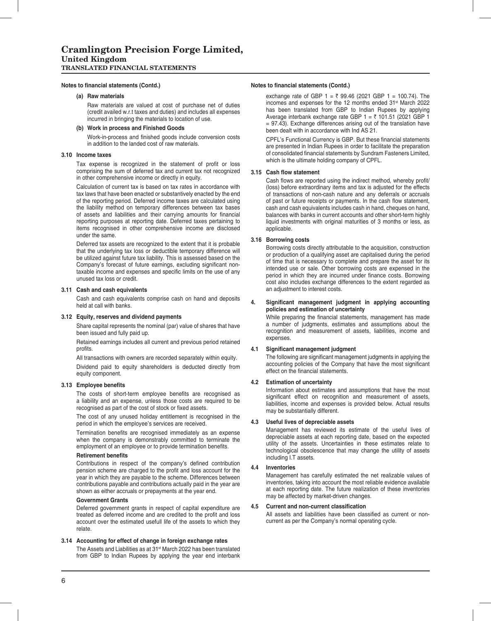#### Notes to financial statements (Contd.) Notes to financial statements (Contd.)

#### **(a) Raw materials**

 Raw materials are valued at cost of purchase net of duties (credit availed w.r.t taxes and duties) and includes all expenses incurred in bringing the materials to location of use.

#### **(b) Work in process and Finished Goods**

Work-in-process and finished goods include conversion costs in addition to the landed cost of raw materials.

#### **3.10 Income taxes**

Tax expense is recognized in the statement of profit or loss comprising the sum of deferred tax and current tax not recognized in other comprehensive income or directly in equity.

 Calculation of current tax is based on tax rates in accordance with tax laws that have been enacted or substantively enacted by the end of the reporting period. Deferred income taxes are calculated using the liability method on temporary differences between tax bases of assets and liabilities and their carrying amounts for financial reporting purposes at reporting date. Deferred taxes pertaining to items recognised in other comprehensive income are disclosed under the same.

 Deferred tax assets are recognized to the extent that it is probable that the underlying tax loss or deductible temporary difference will be utilized against future tax liability. This is assessed based on the Company's forecast of future earnings, excluding significant nontaxable income and expenses and specific limits on the use of any unused tax loss or credit.

#### **3.11 Cash and cash equivalents**

 Cash and cash equivalents comprise cash on hand and deposits held at call with banks.

#### **3.12 Equity, reserves and dividend payments**

 Share capital represents the nominal (par) value of shares that have been issued and fully paid up.

 Retained earnings includes all current and previous period retained profits.

All transactions with owners are recorded separately within equity.

 Dividend paid to equity shareholders is deducted directly from equity component.

#### **3.13 Employee benefits**

The costs of short-term employee benefits are recognised as a liability and an expense, unless those costs are required to be recognised as part of the cost of stock or fixed assets.

 The cost of any unused holiday entitlement is recognised in the period in which the employee's services are received.

Termination benefits are recognised immediately as an expense when the company is demonstrably committed to terminate the employment of an employee or to provide termination benefits.

#### **Retirement benefits**

Contributions in respect of the company's defined contribution pension scheme are charged to the profit and loss account for the year in which they are payable to the scheme. Differences between contributions payable and contributions actually paid in the year are shown as either accruals or prepayments at the year end.

#### **Government Grants**

 Deferred government grants in respect of capital expenditure are treated as deferred income and are credited to the profit and loss account over the estimated usefull life of the assets to which they relate.

#### **3.14 Accounting for effect of change in foreign exchange rates**

The Assets and Liabilities as at 31<sup>st</sup> March 2022 has been translated from GBP to Indian Rupees by applying the year end interbank

exchange rate of GBP  $1 = \frac{1}{2}$  99.46 (2021 GBP 1 = 100.74). The incomes and expenses for the 12 months ended 31st March 2022 has been translated from GBP to Indian Rupees by applying Average interbank exchange rate GBP  $1 = \overline{5}$  101.51 (2021 GBP 1 = 97.43). Exchange differences arising out of the translation have been dealt with in accordance with Ind AS 21.

CPFL's Functional Currency is GBP. But these financial statements are presented in Indian Rupees in order to facilitate the preparation of consolidated financial statements by Sundram Fasteners Limited, which is the ultimate holding company of CPFL.

#### **3.15 Cash flow statement**

Cash flows are reported using the indirect method, whereby profit/ (loss) before extraordinary items and tax is adjusted for the effects of transactions of non-cash nature and any deferrals or accruals of past or future receipts or payments. In the cash flow statement, cash and cash equivalents includes cash in hand, cheques on hand, balances with banks in current accounts and other short-term highly liquid investments with original maturities of 3 months or less, as applicable.

#### **3.16 Borrowing costs**

 Borrowing costs directly attributable to the acquisition, construction or production of a qualifying asset are capitalised during the period of time that is necessary to complete and prepare the asset for its intended use or sale. Other borrowing costs are expensed in the period in which they are incurred under finance costs. Borrowing cost also includes exchange differences to the extent regarded as an adjustment to interest costs.

#### 4. Significant management judgment in applying accounting **policies and estimation of uncertainty**

While preparing the financial statements, management has made a number of judgments, estimates and assumptions about the recognition and measurement of assets, liabilities, income and expenses.

#### **4.1 Significant management judgment**

The following are significant management judgments in applying the accounting policies of the Company that have the most significant effect on the financial statements.

#### **4.2 Estimation of uncertainty**

 Information about estimates and assumptions that have the most significant effect on recognition and measurement of assets, liabilities, income and expenses is provided below. Actual results may be substantially different.

#### **4.3 Useful lives of depreciable assets**

 Management has reviewed its estimate of the useful lives of depreciable assets at each reporting date, based on the expected utility of the assets. Uncertainties in these estimates relate to technological obsolescence that may change the utility of assets including I.T assets.

#### **4.4 Inventories**

 Management has carefully estimated the net realizable values of inventories, taking into account the most reliable evidence available at each reporting date. The future realization of these inventories may be affected by market-driven changes.

#### **4.5 Current and non-current classification**

All assets and liabilities have been classified as current or noncurrent as per the Company's normal operating cycle.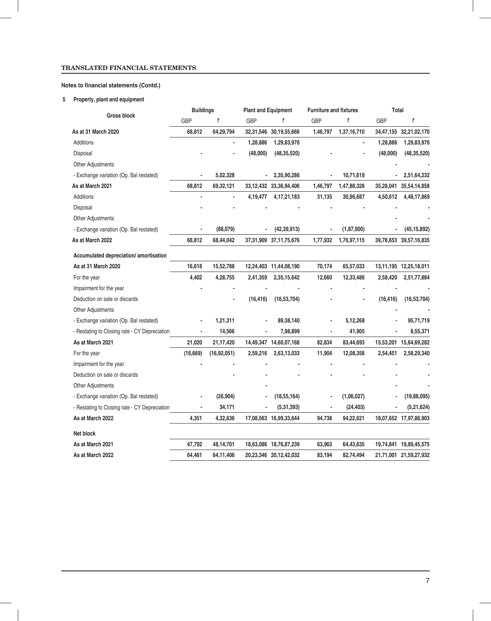### **Notes to financial statements (Contd.)**

### **5 Property, plant and equipment**

|                                               | <b>Buildings</b> |               |                              | <b>Plant and Equipment</b>  |          | <b>Furniture and fixtures</b> |            | Total                       |  |  |
|-----------------------------------------------|------------------|---------------|------------------------------|-----------------------------|----------|-------------------------------|------------|-----------------------------|--|--|
| <b>Gross block</b>                            | <b>GBP</b>       | ₹             | GBP                          | ₹                           | GBP      | ₹                             | <b>GBP</b> | ₹                           |  |  |
| As at 31 March 2020                           | 68,812           | 64,29,794     | 32,31,546                    | 30,19,55,666                | 1,46,797 | 1,37,16,710                   | 34,47,155  | 32,21,02,170                |  |  |
| Additions                                     |                  |               | 1,28,886                     | 1,29,83,976                 |          |                               | 1,28,886   | 1,29,83,976                 |  |  |
| Disposal                                      |                  |               | (48,000)                     | (48, 35, 520)               |          |                               | (48,000)   | (48, 35, 520)               |  |  |
| <b>Other Adjustments</b>                      |                  |               |                              |                             |          |                               |            |                             |  |  |
| - Exchange variation (Op. Bal restated)       |                  | 5,02,328      | $\overline{\phantom{a}}$     | 2,35,90,286                 |          | 10,71,618                     |            | 2,51,64,232                 |  |  |
| As at March 2021                              | 68,812           | 69,32,121     |                              | 33, 12, 432 33, 36, 94, 406 | 1,46,797 | 1,47,88,328                   | 35,28,041  | 35,54,14,858                |  |  |
| Additions                                     |                  |               | 4,19,477                     | 4, 17, 21, 183              | 31,135   | 30,96,687                     | 4,50,612   | 4,48,17,869                 |  |  |
| Disposal                                      |                  |               |                              |                             |          |                               |            |                             |  |  |
| <b>Other Adjustments</b>                      |                  |               |                              |                             |          |                               |            |                             |  |  |
| - Exchange variation (Op. Bal restated)       |                  | (88,079)      | $\qquad \qquad \blacksquare$ | (42, 39, 913)               |          | (1, 87, 900)                  |            | (45, 15, 892)               |  |  |
| As at March 2022                              | 68,812           | 68,44,042     |                              | 37,31,909 37,11,75,676      | 1,77,932 | 1,76,97,115                   |            | 39,78,653 39,57,16,835      |  |  |
| Accumulated depreciation/amortisation         |                  |               |                              |                             |          |                               |            |                             |  |  |
| As at 31 March 2020                           | 16,618           | 15,52,788     |                              | 12,24,403 11,44,08,190      | 70,174   | 65,57,033                     |            | 13, 11, 195 12, 25, 18, 011 |  |  |
| For the year                                  | 4,402            | 4,28,755      | 2,41,359                     | 2,35,15,642                 | 12,660   | 12,33,486                     | 2,58,420   | 2,51,77,884                 |  |  |
| Impairment for the year                       |                  |               |                              |                             |          |                               |            |                             |  |  |
| Deduction on sale or discards                 |                  |               | (16, 416)                    | (16, 53, 704)               |          |                               | (16, 416)  | (16, 53, 704)               |  |  |
| <b>Other Adjustments</b>                      |                  |               |                              |                             |          |                               |            |                             |  |  |
| - Exchange variation (Op. Bal restated)       |                  | 1,21,311      |                              | 89,38,140                   |          | 5,12,268                      |            | 95,71,719                   |  |  |
| - Restating to Closing rate - CY Depreciation | $\blacksquare$   | 14,566        | $\blacksquare$               | 7,98,899                    |          | 41,905                        |            | 8,55,371                    |  |  |
| As at March 2021                              | 21,020           | 21,17,420     |                              | 14,49,347 14,60,07,168      | 82,834   | 83,44,693                     | 15,53,201  | 15,64,69,282                |  |  |
| For the year                                  | (16, 669)        | (16, 92, 051) | 2,59,216                     | 2,63,13,033                 | 11,904   | 12,08,358                     | 2,54,451   | 2,58,29,340                 |  |  |
| Impairment for the year                       |                  |               |                              |                             |          |                               |            |                             |  |  |
| Deduction on sale or discards                 |                  |               |                              |                             |          |                               |            |                             |  |  |
| <b>Other Adjustments</b>                      |                  |               |                              |                             |          |                               |            |                             |  |  |
| - Exchange variation (Op. Bal restated)       |                  | (26, 904)     |                              | (18, 55, 164)               |          | (1,06,027)                    |            | (19, 88, 095)               |  |  |
| - Restating to Closing rate - CY Depreciation |                  | 34,171        |                              | (5,31,393)                  |          | (24, 403)                     |            | (5,21,624)                  |  |  |
| As at March 2022                              | 4,351            | 4,32,636      |                              | 17,08,563 16,99,33,644      | 94,738   | 94,22,621                     |            | 18,07,652 17,97,88,903      |  |  |
| Net block                                     |                  |               |                              |                             |          |                               |            |                             |  |  |
| As at March 2021                              | 47,792           | 48,14,701     |                              | 18,63,086 18,76,87,239      | 63,963   | 64,43,635                     |            | 19,74,841 19,89,45,575      |  |  |
| As at March 2022                              | 64,461           | 64,11,406     |                              | 20,23,346 20,12,42,032      | 83,194   | 82,74,494                     |            | 21,71,001 21,59,27,932      |  |  |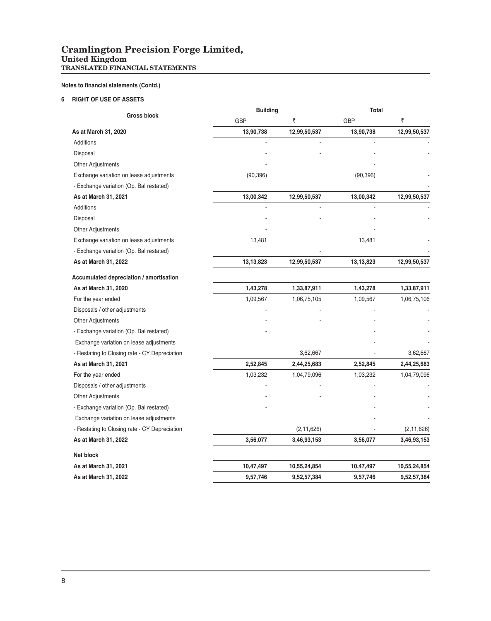### **Cramlington Precision Forge Limited, United Kingdom TRANSLATED FINANCIAL STATEMENTS**

### **Notes to financial statements (Contd.)**

### **6 RIGHT OF USE OF ASSETS**

|                                               | <b>Building</b> |              | Total      |              |  |  |
|-----------------------------------------------|-----------------|--------------|------------|--------------|--|--|
| <b>Gross block</b>                            | <b>GBP</b>      | ₹            | <b>GBP</b> | ₹            |  |  |
| As at March 31, 2020                          | 13,90,738       | 12,99,50,537 | 13,90,738  | 12,99,50,537 |  |  |
| Additions                                     |                 |              |            |              |  |  |
| Disposal                                      |                 |              |            |              |  |  |
| Other Adjustments                             |                 |              |            |              |  |  |
| Exchange variation on lease adjustments       | (90, 396)       |              | (90, 396)  |              |  |  |
| - Exchange variation (Op. Bal restated)       |                 |              |            |              |  |  |
| As at March 31, 2021                          | 13,00,342       | 12,99,50,537 | 13,00,342  | 12,99,50,537 |  |  |
| Additions                                     |                 |              |            |              |  |  |
| Disposal                                      |                 |              |            |              |  |  |
| Other Adjustments                             |                 |              |            |              |  |  |
| Exchange variation on lease adjustments       | 13,481          |              | 13,481     |              |  |  |
| - Exchange variation (Op. Bal restated)       |                 |              |            |              |  |  |
| As at March 31, 2022                          | 13,13,823       | 12,99,50,537 | 13,13,823  | 12,99,50,537 |  |  |
| Accumulated depreciation / amortisation       |                 |              |            |              |  |  |
| As at March 31, 2020                          | 1,43,278        | 1,33,87,911  | 1,43,278   | 1,33,87,911  |  |  |
| For the year ended                            | 1,09,567        | 1,06,75,105  | 1,09,567   | 1,06,75,106  |  |  |
| Disposals / other adjustments                 |                 |              |            |              |  |  |
| <b>Other Adjustments</b>                      |                 |              |            |              |  |  |
| - Exchange variation (Op. Bal restated)       |                 |              |            |              |  |  |
| Exchange variation on lease adjustments       |                 |              |            |              |  |  |
| - Restating to Closing rate - CY Depreciation |                 | 3,62,667     |            | 3,62,667     |  |  |
| As at March 31, 2021                          | 2,52,845        | 2,44,25,683  | 2,52,845   | 2,44,25,683  |  |  |
| For the year ended                            | 1,03,232        | 1,04,79,096  | 1,03,232   | 1,04,79,096  |  |  |
| Disposals / other adjustments                 |                 |              |            |              |  |  |
| <b>Other Adjustments</b>                      |                 |              |            |              |  |  |
| - Exchange variation (Op. Bal restated)       |                 |              |            |              |  |  |
| Exchange variation on lease adjustments       |                 |              |            |              |  |  |
| - Restating to Closing rate - CY Depreciation |                 | (2, 11, 626) |            | (2, 11, 626) |  |  |
| As at March 31, 2022                          | 3,56,077        | 3,46,93,153  | 3,56,077   | 3,46,93,153  |  |  |
| <b>Net block</b>                              |                 |              |            |              |  |  |
| As at March 31, 2021                          | 10,47,497       | 10,55,24,854 | 10,47,497  | 10,55,24,854 |  |  |
| As at March 31, 2022                          | 9,57,746        | 9,52,57,384  | 9,57,746   | 9,52,57,384  |  |  |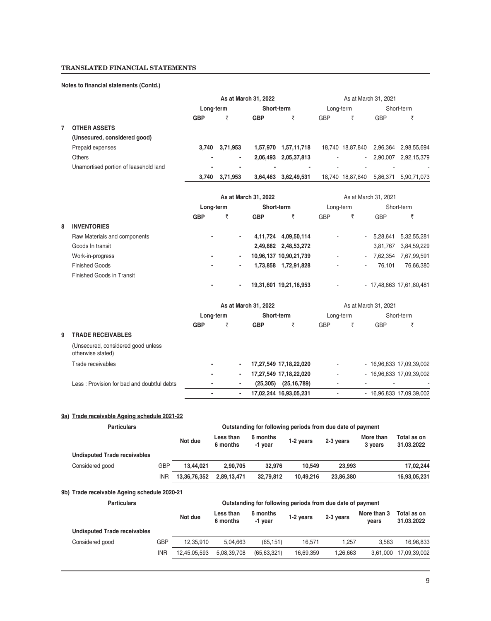### **Notes to financial statements (Contd.)**

|   |                                                                    |            |                |                       |                          | As at March 31, 2022                                       |                          |           |                  |           | As at March 31, 2021     |                           |
|---|--------------------------------------------------------------------|------------|----------------|-----------------------|--------------------------|------------------------------------------------------------|--------------------------|-----------|------------------|-----------|--------------------------|---------------------------|
|   |                                                                    |            |                | Long-term             |                          | Short-term                                                 |                          |           | Long-term        |           |                          | Short-term                |
|   |                                                                    |            | <b>GBP</b>     | ₹                     |                          | <b>GBP</b>                                                 | ₹                        |           | <b>GBP</b>       | ₹         | <b>GBP</b>               | ₹                         |
| 7 | <b>OTHER ASSETS</b>                                                |            |                |                       |                          |                                                            |                          |           |                  |           |                          |                           |
|   | (Unsecured, considered good)                                       |            |                |                       |                          |                                                            |                          |           |                  |           |                          |                           |
|   | Prepaid expenses                                                   |            | 3,740          | 3,71,953              |                          | 1,57,970 1,57,11,718                                       |                          |           | 18,740 18,87,840 |           |                          | 2,96,364 2,98,55,694      |
|   | <b>Others</b>                                                      |            |                |                       |                          | 2,06,493 2,05,37,813                                       |                          |           |                  |           |                          | 2,90,007 2,92,15,379      |
|   | Unamortised portion of leasehold land                              |            |                |                       |                          | $\overline{\phantom{a}}$                                   |                          |           |                  |           | $\overline{\phantom{a}}$ |                           |
|   |                                                                    |            | 3,740          | 3,71,953              |                          | 3,64,463 3,62,49,531                                       |                          |           | 18,740 18,87,840 |           |                          | 5,86,371 5,90,71,073      |
|   |                                                                    |            |                |                       |                          |                                                            |                          |           |                  |           |                          |                           |
|   |                                                                    |            |                |                       |                          | As at March 31, 2022                                       |                          |           |                  |           | As at March 31, 2021     |                           |
|   |                                                                    |            |                | Long-term             |                          | Short-term                                                 |                          |           | Long-term        |           |                          | Short-term                |
|   |                                                                    |            | <b>GBP</b>     | ₹                     |                          | <b>GBP</b>                                                 | ₹                        |           | <b>GBP</b>       | ₹         | <b>GBP</b>               | ₹                         |
| 8 | <b>INVENTORIES</b><br>Raw Materials and components                 |            |                |                       |                          | 4,11,724 4,09,50,114                                       |                          |           |                  |           |                          | 5,28,641 5,32,55,281      |
|   | Goods In transit                                                   |            |                |                       |                          |                                                            | 2,49,882 2,48,53,272     |           |                  |           |                          | 3,81,767 3,84,59,229      |
|   | Work-in-progress                                                   |            |                |                       |                          | 10,96,137 10,90,21,739                                     |                          |           |                  |           |                          | 7,62,354 7,67,99,591      |
|   | <b>Finished Goods</b>                                              |            |                |                       |                          | 1,73,858 1,72,91,828                                       |                          |           |                  |           | 76,101                   | 76,66,380                 |
|   | <b>Finished Goods in Transit</b>                                   |            |                |                       |                          |                                                            |                          |           |                  |           |                          |                           |
|   |                                                                    |            | $\blacksquare$ |                       | $\overline{\phantom{a}}$ | 19,31,601 19,21,16,953                                     |                          |           | $\blacksquare$   |           |                          | - 17,48,863 17,61,80,481  |
|   |                                                                    |            |                |                       |                          |                                                            |                          |           |                  |           |                          |                           |
|   |                                                                    |            |                |                       |                          | As at March 31, 2022                                       |                          |           |                  |           | As at March 31, 2021     |                           |
|   |                                                                    |            |                | Long-term             |                          | Short-term                                                 |                          |           | Long-term        |           |                          | Short-term                |
|   |                                                                    |            | <b>GBP</b>     | ₹                     |                          | <b>GBP</b>                                                 | ₹                        |           | <b>GBP</b>       | ₹         | <b>GBP</b>               | ₹                         |
| 9 | <b>TRADE RECEIVABLES</b>                                           |            |                |                       |                          |                                                            |                          |           |                  |           |                          |                           |
|   | (Unsecured, considered good unless<br>otherwise stated)            |            |                |                       |                          |                                                            |                          |           |                  |           |                          |                           |
|   | Trade receivables                                                  |            |                |                       |                          | 17,27,549 17,18,22,020                                     |                          |           |                  |           |                          | - 16,96,833 17,09,39,002  |
|   |                                                                    |            |                |                       | $\overline{\phantom{a}}$ | 17,27,549 17,18,22,020                                     |                          |           |                  |           |                          | - 16,96,833 17,09,39,002  |
|   | Less: Provision for bad and doubtful debts                         |            |                |                       |                          |                                                            | $(25,305)$ $(25,16,789)$ |           |                  |           |                          |                           |
|   |                                                                    |            |                |                       |                          | 17,02,244 16,93,05,231                                     |                          |           | ä,               |           |                          | - 16,96,833 17,09,39,002  |
|   |                                                                    |            |                |                       |                          |                                                            |                          |           |                  |           |                          |                           |
|   | 9a) Trade receivable Ageing schedule 2021-22<br><b>Particulars</b> |            |                |                       |                          | Outstanding for following periods from due date of payment |                          |           |                  |           |                          |                           |
|   |                                                                    |            | Not due        | Less than<br>6 months |                          | 6 months                                                   | 1-2 years                |           | 2-3 years        |           | More than                | Total as on<br>31.03.2022 |
|   | <b>Undisputed Trade receivables</b>                                |            |                |                       |                          | -1 year                                                    |                          |           |                  |           | 3 years                  |                           |
|   | Considered good                                                    | GBP        | 13,44,021      | 2,90,705              |                          | 32,976                                                     |                          | 10,549    |                  | 23,993    |                          | 17,02,244                 |
|   |                                                                    | <b>INR</b> | 13,36,76,352   | 2,89,13,471           |                          | 32,79,812                                                  |                          | 10,49,216 |                  | 23,86,380 |                          | 16,93,05,231              |
|   |                                                                    |            |                |                       |                          |                                                            |                          |           |                  |           |                          |                           |
|   | 9b) Trade receivable Ageing schedule 2020-21<br><b>Particulars</b> |            |                |                       |                          |                                                            |                          |           |                  |           |                          |                           |
|   |                                                                    |            |                |                       |                          | Outstanding for following periods from due date of payment |                          |           |                  |           |                          |                           |
|   |                                                                    |            | Not due        | Less than<br>6 months |                          | 6 months<br>-1 year                                        | 1-2 years                |           | 2-3 years        |           | More than 3<br>years     | Total as on<br>31.03.2022 |

| <b>Undisputed Trade receivables</b> |     |              |             |             |           |          |       |                       |
|-------------------------------------|-----|--------------|-------------|-------------|-----------|----------|-------|-----------------------|
| Considered good                     | GBP | 12.35.910    | 5.04.663    | (65.151)    | 16.571    | 1.257    | 3.583 | 16.96.833             |
|                                     | INR | 12.45.05.593 | 5,08,39,708 | (65.63.321) | 16.69.359 | 1.26.663 |       | 3,61,000 17,09,39,002 |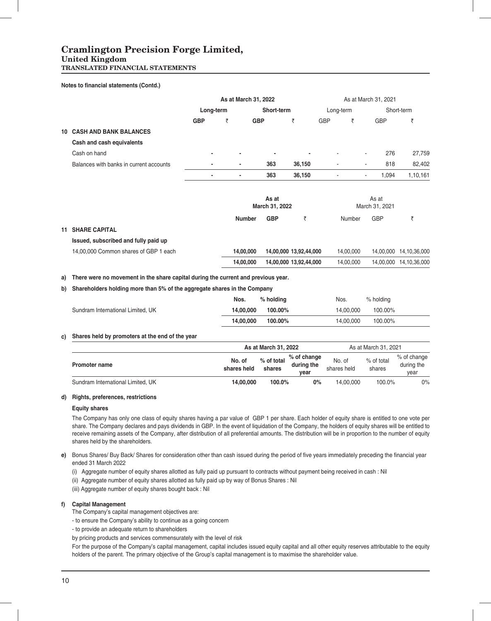### **Cramlington Precision Forge Limited,**

### **United Kingdom**

**TRANSLATED FINANCIAL STATEMENTS**

#### **Notes to financial statements (Contd.)**

|    |                                         |                          | As at March 31, 2022 |                         |                        |            |           | As at March 31, 2021            |              |  |  |
|----|-----------------------------------------|--------------------------|----------------------|-------------------------|------------------------|------------|-----------|---------------------------------|--------------|--|--|
|    |                                         | Long-term                |                      | Short-term              |                        |            | Long-term |                                 | Short-term   |  |  |
|    |                                         | <b>GBP</b>               | ₹                    | <b>GBP</b>              | ₹                      | <b>GBP</b> | ₹         | <b>GBP</b>                      | ₹            |  |  |
| 10 | <b>CASH AND BANK BALANCES</b>           |                          |                      |                         |                        |            |           |                                 |              |  |  |
|    | Cash and cash equivalents               |                          |                      |                         |                        |            |           |                                 |              |  |  |
|    | Cash on hand                            | $\blacksquare$           | $\blacksquare$       | ٠                       |                        |            |           | 276<br>$\overline{\phantom{a}}$ | 27,759       |  |  |
|    | Balances with banks in current accounts |                          | ۰                    | 363                     | 36,150                 | ۰          |           | 818<br>٠                        | 82,402       |  |  |
|    |                                         | $\overline{\phantom{a}}$ | ٠                    | 363                     | 36,150                 |            |           | 1,094<br>٠                      | 1,10,161     |  |  |
|    |                                         |                          |                      | As at<br>March 31, 2022 |                        |            |           | As at<br>March 31, 2021         |              |  |  |
|    |                                         |                          | <b>Number</b>        | <b>GBP</b>              | ₹                      |            | Number    | <b>GBP</b>                      | ₹            |  |  |
| 11 | <b>SHARE CAPITAL</b>                    |                          |                      |                         |                        |            |           |                                 |              |  |  |
|    | Issued, subscribed and fully paid up    |                          |                      |                         |                        |            |           |                                 |              |  |  |
|    | 14,00,000 Common shares of GBP 1 each   |                          | 14,00,000            |                         | 14,00,000 13,92,44,000 |            | 14,00,000 | 14,00,000                       | 14,10,36,000 |  |  |
|    |                                         |                          | 14,00,000            |                         | 14,00,000 13,92,44,000 |            | 14,00,000 | 14,00,000                       | 14,10,36,000 |  |  |
|    |                                         |                          |                      |                         |                        |            |           |                                 |              |  |  |

### **a) There were no movement in the share capital during the current and previous year.**

### **b) Shareholders holding more than 5% of the aggregate shares in the Company**

|                                   | Nos.      | $%$ holding | Nos.      | $%$ holding |
|-----------------------------------|-----------|-------------|-----------|-------------|
| Sundram International Limited, UK | 14.00.000 | 100.00%     | 14.00.000 | 100.00%     |
|                                   | 14.00.000 | 100.00%     | 14.00.000 | 100.00%     |

#### **c) Shares held by promoters at the end of the year**

|                                   |                       | As at March 31, 2022 |                                   |                       | As at March 31, 2021 |                                   |
|-----------------------------------|-----------------------|----------------------|-----------------------------------|-----------------------|----------------------|-----------------------------------|
| Promoter name                     | No. of<br>shares held | % of total<br>shares | % of change<br>during the<br>vear | No. of<br>shares held | % of total<br>shares | % of change<br>during the<br>year |
| Sundram International Limited, UK | 14.00.000             | 100.0%               | $0\%$                             | 14.00.000             | 100.0%               | 0%                                |

#### **d) Rights, preferences, restrictions**

#### **Equity shares**

The Company has only one class of equity shares having a par value of GBP 1 per share. Each holder of equity share is entitled to one vote per share. The Company declares and pays dividends in GBP. In the event of liquidation of the Company, the holders of equity shares will be entitled to receive remaining assets of the Company, after distribution of all preferential amounts. The distribution will be in proportion to the number of equity shares held by the shareholders.

- e) Bonus Shares/ Buy Back/ Shares for consideration other than cash issued during the period of five years immediately preceding the financial year ended 31 March 2022
	- (i) Aggregate number of equity shares allotted as fully paid up pursuant to contracts without payment being received in cash : Nil
	- (ii) Aggregate number of equity shares allotted as fully paid up by way of Bonus Shares : Nil
	- (iii) Aggregate number of equity shares bought back : Nil

#### **f) Capital Management**

- The Company's capital management objectives are:
- to ensure the Company's ability to continue as a going concern
- to provide an adequate return to shareholders
- by pricing products and services commensurately with the level of risk

For the purpose of the Company's capital management, capital includes issued equity capital and all other equity reserves attributable to the equity holders of the parent. The primary objective of the Group's capital management is to maximise the shareholder value.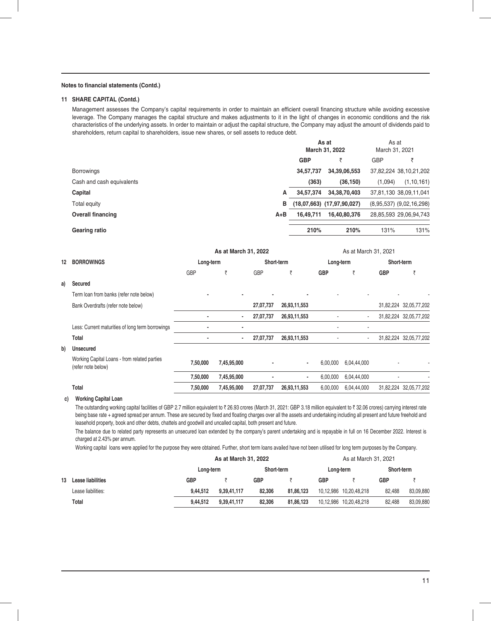### **Notes to financial statements (Contd.)**

#### **11 SHARE CAPITAL (Contd.)**

Management assesses the Company's capital requirements in order to maintain an efficient overall financing structure while avoiding excessive leverage. The Company manages the capital structure and makes adjustments to it in the light of changes in economic conditions and the risk characteristics of the underlying assets. In order to maintain or adjust the capital structure, the Company may adjust the amount of dividends paid to shareholders, return capital to shareholders, issue new shares, or sell assets to reduce debt.

|                           |         |            | As at<br>March 31, 2022    | As at<br>March 31, 2021 |                              |
|---------------------------|---------|------------|----------------------------|-------------------------|------------------------------|
|                           |         | <b>GBP</b> |                            | <b>GBP</b>              |                              |
| <b>Borrowings</b>         |         | 34,57,737  | 34,39,06,553               |                         | 37,82,224 38,10,21,202       |
| Cash and cash equivalents |         | (363)      | (36, 150)                  | (1,094)                 | (1, 10, 161)                 |
| Capital                   | A       | 34,57,374  | 34, 38, 70, 403            |                         | 37,81,130 38,09,11,041       |
| Total equity              | в       |            | (18,07,663) (17,97,90,027) |                         | $(8,95,537)$ $(9,02,16,298)$ |
| <b>Overall financing</b>  | $A + B$ | 16,49,711  | 16,40,80,376               |                         | 28,85,593 29,06,94,743       |
| Gearing ratio             |         | 210%       | 210%                       | 131%                    | 131%                         |

|    |                                                                    |           | As at March 31, 2022 |            |              |            | As at March 31, 2021 |            |                        |
|----|--------------------------------------------------------------------|-----------|----------------------|------------|--------------|------------|----------------------|------------|------------------------|
| 12 | <b>BORROWINGS</b>                                                  | Long-term |                      | Short-term |              | Long-term  |                      | Short-term |                        |
|    |                                                                    | GBP       | ₹                    | GBP        | ₹            | <b>GBP</b> | ₹                    | <b>GBP</b> | ₹                      |
| a) | Secured                                                            |           |                      |            |              |            |                      |            |                        |
|    | Term loan from banks (refer note below)                            |           |                      |            |              |            |                      |            |                        |
|    | Bank Overdrafts (refer note below)                                 |           |                      | 27,07,737  | 26,93,11,553 |            |                      |            | 31,82,224 32,05,77,202 |
|    |                                                                    |           |                      | 27,07,737  | 26,93,11,553 |            | $\blacksquare$       |            | 31,82,224 32,05,77,202 |
|    | Less: Current maturities of long term borrowings                   |           | $\blacksquare$       |            |              |            |                      |            |                        |
|    | Total                                                              |           | $\blacksquare$       | 27,07,737  | 26,93,11,553 |            | $\blacksquare$       |            | 31,82,224 32,05,77,202 |
| b) | <b>Unsecured</b>                                                   |           |                      |            |              |            |                      |            |                        |
|    | Working Capital Loans - from related parties<br>(refer note below) | 7,50,000  | 7,45,95,000          |            |              | 6,00,000   | 6,04,44,000          |            |                        |
|    |                                                                    | 7,50,000  | 7,45,95,000          |            | ۰            | 6,00,000   | 6,04,44,000          |            |                        |
|    | Total                                                              | 7,50,000  | 7,45,95,000          | 27,07,737  | 26,93,11,553 | 6,00,000   | 6,04,44,000          |            | 31,82,224 32,05,77,202 |

#### **c) Working Capital Loan**

The outstanding working capital facilities of GBP 2.7 million equivalent to ₹ 26.93 crores (March 31, 2021: GBP 3.18 million equivalent to ₹ 32.06 crores) carrying interest rate being base rate + agreed spread per annum. These are secured by fixed and floating charges over all the assets and undertaking including all present and future freehold and leasehold property, book and other debts, chattels and goodwill and uncalled capital, both present and future.

The balance due to related party represents an unsecured loan extended by the company's parent undertaking and is repayable in full on 16 December 2022. Interest is charged at 2.43% per annum.

Working capital loans were applied for the purpose they were obtained. Further, short term loans availed have not been utilised for long term purposes by the Company.

|    |                    |            | As at March 31, 2022 |            |           |            | As at March 31, 2021   |            |           |
|----|--------------------|------------|----------------------|------------|-----------|------------|------------------------|------------|-----------|
|    |                    | Long-term  |                      | Short-term |           | Long-term  |                        | Short-term |           |
| 13 | Lease liabilities  | <b>GBP</b> |                      | <b>GBP</b> |           | <b>GBP</b> |                        | <b>GBP</b> |           |
|    | Lease liabilities: | 9.44.512   | 9,39,41,117          | 82.306     | 81.86.123 |            | 10,12,986 10,20,48,218 | 82.488     | 83,09,880 |
|    | Total              | 9.44.512   | 9.39.41.117          | 82.306     | 81.86.123 |            | 10,12,986 10,20,48,218 | 82.488     | 83.09.880 |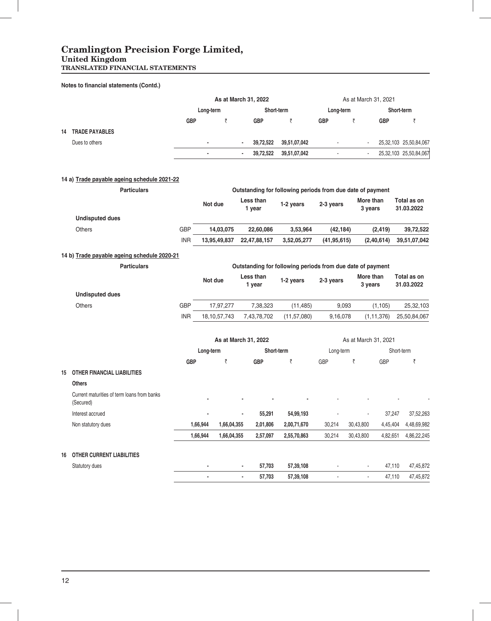### **Cramlington Precision Forge Limited,**

### **United Kingdom**

**TRANSLATED FINANCIAL STATEMENTS**

### **Notes to financial statements (Contd.)**

|    |                                                          |            |                | As at March 31, 2022 |                      |                     |                                                            |               |           | As at March 31, 2021 |            |                           |
|----|----------------------------------------------------------|------------|----------------|----------------------|----------------------|---------------------|------------------------------------------------------------|---------------|-----------|----------------------|------------|---------------------------|
|    |                                                          |            | Long-term      |                      |                      | Short-term          |                                                            | Long-term     |           |                      | Short-term |                           |
|    |                                                          | <b>GBP</b> |                | ₹                    |                      | <b>GBP</b>          | ₹                                                          | GBP           | ₹         | <b>GBP</b>           |            | ₹                         |
| 14 | <b>TRADE PAYABLES</b>                                    |            |                |                      |                      |                     |                                                            |               |           |                      |            |                           |
|    | Dues to others                                           |            | $\blacksquare$ |                      | $\ddot{\phantom{0}}$ | 39,72,522           | 39,51,07,042                                               | $\sim$        |           |                      |            | 25,32,103 25,50,84,067    |
|    |                                                          |            | $\blacksquare$ |                      | ä,                   | 39,72,522           | 39,51,07,042                                               | ÷.            |           | ÷.                   |            | 25,32,103 25,50,84,067    |
|    | 14 a) Trade payable ageing schedule 2021-22              |            |                |                      |                      |                     |                                                            |               |           |                      |            |                           |
|    | <b>Particulars</b>                                       |            |                |                      |                      |                     | Outstanding for following periods from due date of payment |               |           |                      |            |                           |
|    |                                                          |            | Not due        |                      |                      | Less than<br>1 year | 1-2 years                                                  | 2-3 years     |           | More than<br>3 years |            | Total as on<br>31.03.2022 |
|    | <b>Undisputed dues</b>                                   |            |                |                      |                      |                     |                                                            |               |           |                      |            |                           |
|    | Others                                                   | <b>GBP</b> |                | 14,03,075            |                      | 22,60,086           | 3,53,964                                                   | (42, 184)     |           | (2, 419)             |            | 39,72,522                 |
|    |                                                          | <b>INR</b> |                | 13,95,49,837         |                      | 22,47,88,157        | 3,52,05,277                                                | (41, 95, 615) |           | (2,40,614)           |            | 39,51,07,042              |
|    | 14 b) Trade payable ageing schedule 2020-21              |            |                |                      |                      |                     |                                                            |               |           |                      |            |                           |
|    | <b>Particulars</b>                                       |            |                |                      |                      |                     | Outstanding for following periods from due date of payment |               |           |                      |            |                           |
|    |                                                          |            | Not due        |                      |                      | Less than<br>1 year | 1-2 years                                                  | 2-3 years     |           | More than<br>3 years |            | Total as on<br>31.03.2022 |
|    | <b>Undisputed dues</b>                                   |            |                |                      |                      |                     |                                                            |               |           |                      |            |                           |
|    | <b>Others</b>                                            | <b>GBP</b> |                | 17,97,277            |                      | 7,38,323            | (11, 485)                                                  | 9,093         |           | (1, 105)             |            | 25,32,103                 |
|    |                                                          | <b>INR</b> |                | 18, 10, 57, 743      |                      | 7,43,78,702         | (11, 57, 080)                                              | 9,16,078      |           | (1, 11, 376)         |            | 25,50,84,067              |
|    |                                                          |            |                | As at March 31, 2022 |                      |                     |                                                            |               |           | As at March 31, 2021 |            |                           |
|    |                                                          |            | Long-term      |                      |                      | Short-term          |                                                            | Long-term     |           |                      | Short-term |                           |
|    |                                                          | <b>GBP</b> |                | ₹                    |                      | <b>GBP</b>          | ₹                                                          | GBP           | ₹         | GBP                  |            | ₹                         |
| 15 | <b>OTHER FINANCIAL LIABILITIES</b>                       |            |                |                      |                      |                     |                                                            |               |           |                      |            |                           |
|    | <b>Others</b>                                            |            |                |                      |                      |                     |                                                            |               |           |                      |            |                           |
|    | Current maturities of term loans from banks<br>(Secured) |            |                |                      |                      |                     |                                                            |               |           |                      |            |                           |
|    | Interest accrued                                         |            |                |                      |                      | 55,291              | 54,99,193                                                  |               |           |                      | 37,247     | 37,52,263                 |
|    | Non statutory dues                                       |            | 1,66,944       | 1,66,04,355          |                      | 2,01,806            | 2,00,71,670                                                | 30,214        | 30,43,800 | 4,45,404             |            | 4,48,69,982               |
|    |                                                          |            | 1,66,944       | 1,66,04,355          |                      | 2,57,097            | 2,55,70,863                                                | 30,214        | 30,43,800 | 4,82,651             |            | 4,86,22,245               |
| 16 | <b>OTHER CURRENT LIABILITIES</b>                         |            |                |                      |                      |                     |                                                            |               |           |                      |            |                           |
|    | Statutory dues                                           |            |                |                      |                      | 57,703              | 57,39,108                                                  |               |           |                      | 47,110     | 47,45,872                 |
|    |                                                          |            | $\overline{a}$ |                      |                      | 57,703              | 57,39,108                                                  |               |           |                      | 47,110     | 47,45,872                 |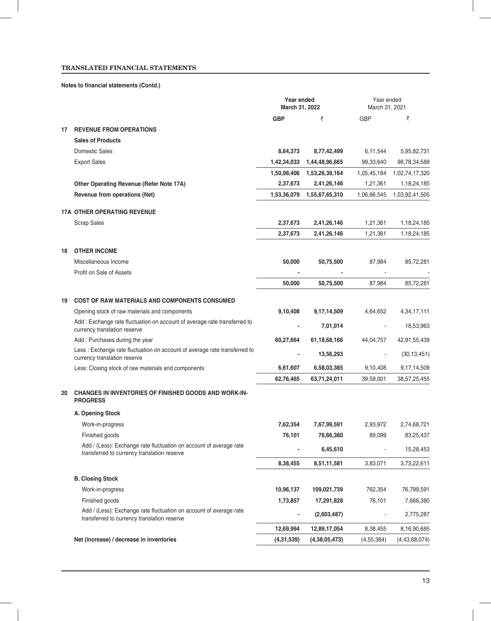### **Notes to financial statements (Contd.)**

|                                                                                                                   | Year ended<br>March 31, 2022 |                 | Year ended<br>March 31, 2021 |                |
|-------------------------------------------------------------------------------------------------------------------|------------------------------|-----------------|------------------------------|----------------|
|                                                                                                                   | <b>GBP</b>                   | ₹               | <b>GBP</b>                   | ₹              |
| <b>REVENUE FROM OPERATIONS</b><br>17                                                                              |                              |                 |                              |                |
| <b>Sales of Products</b>                                                                                          |                              |                 |                              |                |
| Domestic Sales                                                                                                    | 8,64,373                     | 8,77,42,499     | 6,11,544                     | 5,95,82,731    |
| <b>Export Sales</b>                                                                                               | 1,42,34,033                  | 1,44,48,96,665  | 99,33,640                    | 96,78,34,589   |
|                                                                                                                   | 1,50,98,406                  | 1,53,26,39,164  | 1,05,45,184                  | 1,02,74,17,320 |
| Other Operating Revenue (Refer Note 17A)                                                                          | 2,37,673                     | 2,41,26,146     | 1,21,361                     | 1, 18, 24, 185 |
| Revenue from operations (Net)                                                                                     | 1,53,36,079                  | 1,55,67,65,310  | 1,06,66,545                  | 1,03,92,41,505 |
| <b>17A OTHER OPERATING REVENUE</b>                                                                                |                              |                 |                              |                |
| <b>Scrap Sales</b>                                                                                                | 2,37,673                     | 2,41,26,146     | 1,21,361                     | 1, 18, 24, 185 |
|                                                                                                                   | 2,37,673                     | 2,41,26,146     | 1,21,361                     | 1, 18, 24, 185 |
| <b>OTHER INCOME</b><br>18                                                                                         |                              |                 |                              |                |
| Miscellaneous Income                                                                                              | 50,000                       | 50,75,500       | 87,984                       | 85,72,281      |
| Profit on Sale of Assets                                                                                          |                              |                 |                              |                |
|                                                                                                                   | 50,000                       | 50,75,500       | 87,984                       | 85,72,281      |
|                                                                                                                   |                              |                 |                              |                |
| 19<br><b>COST OF RAW MATERIALS AND COMPONENTS CONSUMED</b>                                                        |                              |                 |                              |                |
| Opening stock of raw materials and components                                                                     | 9,10,408                     | 9,17,14,509     | 4,64,652                     | 4,34,17,111    |
| Add: Exchange rate fluctuation on account of average rate transferred to<br>currency translation reserve          |                              | 7,01,014        |                              | 18,53,963      |
| Add: Purchases during the year                                                                                    | 60,27,664                    | 61, 18, 68, 166 | 44,04,757                    | 42,91,55,439   |
| Less : Exchange rate fluctuation on account of average rate transferred to<br>currency translation reserve        |                              | 13,56,293       |                              | (30, 13, 451)  |
| Less: Closing stock of raw materials and components                                                               | 6,61,607                     | 6,58,03,385     | 9,10,408                     | 9, 17, 14, 509 |
|                                                                                                                   | 62,76,465                    | 63,71,24,011    | 39,59,001                    | 38,57,25,455   |
| <b>CHANGES IN INVENTORIES OF FINISHED GOODS AND WORK-IN-</b><br>20<br><b>PROGRESS</b>                             |                              |                 |                              |                |
| A. Opening Stock                                                                                                  |                              |                 |                              |                |
| Work-in-progress                                                                                                  | 7,62,354                     | 7,67,99,591     | 2,93,972                     | 2,74,68,721    |
| Finished goods                                                                                                    | 76,101                       | 76,66,380       | 89,099                       | 83,25,437      |
| Add / (Less): Exchange rate fluctuation on account of average rate<br>transferred to currency translation reserve |                              | 6,45,610        |                              | 15,28,453      |
|                                                                                                                   | 8,38,455                     | 8,51,11,581     | 3,83,071                     | 3,73,22,611    |
| <b>B. Closing Stock</b>                                                                                           |                              |                 |                              |                |
| Work-in-progress                                                                                                  | 10,96,137                    | 109,021,739     | 762,354                      | 76,799,591     |
| Finished goods                                                                                                    | 1,73,857                     | 17,291,828      | 76,101                       | 7,666,380      |
| Add / (Less): Exchange rate fluctuation on account of average rate<br>transferred to currency translation reserve | $\overline{\phantom{0}}$     | (2,603,487)     |                              | 2,775,287      |
|                                                                                                                   | 12,69,994                    | 12,89,17,054    | 8,38,455                     | 8,16,90,685    |
| Net (increase) / decrease in inventories                                                                          | (4,31,539)                   | (4,38,05,473)   | (4,55,384)                   | (4,43,68,074)  |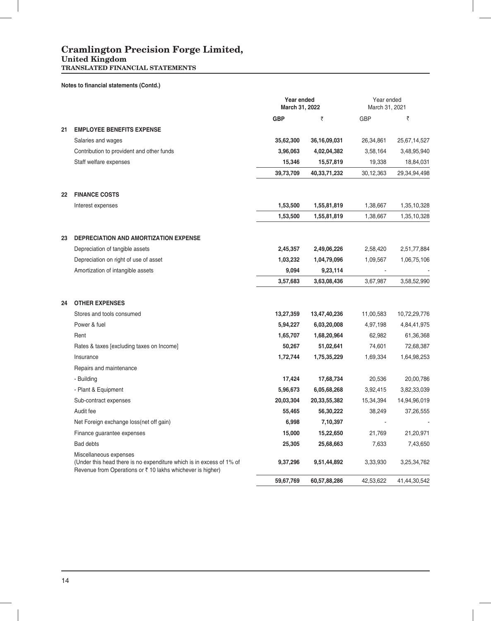### **Cramlington Precision Forge Limited,**

#### **United Kingdom**

**TRANSLATED FINANCIAL STATEMENTS**

|  |  | Notes to financial statements (Contd.) |  |
|--|--|----------------------------------------|--|
|--|--|----------------------------------------|--|

|    |                                                                                                                                                              | Year ended<br>March 31, 2022 |                 | Year ended<br>March 31, 2021 |              |
|----|--------------------------------------------------------------------------------------------------------------------------------------------------------------|------------------------------|-----------------|------------------------------|--------------|
|    |                                                                                                                                                              | <b>GBP</b>                   | ₹               | <b>GBP</b>                   | ₹            |
| 21 | <b>EMPLOYEE BENEFITS EXPENSE</b>                                                                                                                             |                              |                 |                              |              |
|    | Salaries and wages                                                                                                                                           | 35,62,300                    | 36, 16, 09, 031 | 26,34,861                    | 25,67,14,527 |
|    | Contribution to provident and other funds                                                                                                                    | 3,96,063                     | 4,02,04,382     | 3,58,164                     | 3,48,95,940  |
|    | Staff welfare expenses                                                                                                                                       | 15,346                       | 15,57,819       | 19,338                       | 18,84,031    |
|    |                                                                                                                                                              | 39,73,709                    | 40,33,71,232    | 30,12,363                    | 29,34,94,498 |
| 22 | <b>FINANCE COSTS</b>                                                                                                                                         |                              |                 |                              |              |
|    | Interest expenses                                                                                                                                            | 1,53,500                     | 1,55,81,819     | 1,38,667                     | 1,35,10,328  |
|    |                                                                                                                                                              | 1,53,500                     | 1,55,81,819     | 1,38,667                     | 1,35,10,328  |
| 23 | <b>DEPRECIATION AND AMORTIZATION EXPENSE</b>                                                                                                                 |                              |                 |                              |              |
|    | Depreciation of tangible assets                                                                                                                              | 2,45,357                     | 2,49,06,226     | 2,58,420                     | 2,51,77,884  |
|    | Depreciation on right of use of asset                                                                                                                        | 1,03,232                     | 1,04,79,096     | 1,09,567                     | 1,06,75,106  |
|    | Amortization of intangible assets                                                                                                                            | 9,094                        | 9,23,114        |                              |              |
|    |                                                                                                                                                              | 3,57,683                     | 3,63,08,436     | 3,67,987                     | 3,58,52,990  |
| 24 | <b>OTHER EXPENSES</b>                                                                                                                                        |                              |                 |                              |              |
|    | Stores and tools consumed                                                                                                                                    | 13,27,359                    | 13,47,40,236    | 11,00,583                    | 10,72,29,776 |
|    | Power & fuel                                                                                                                                                 | 5,94,227                     | 6,03,20,008     | 4,97,198                     | 4,84,41,975  |
|    | Rent                                                                                                                                                         | 1,65,707                     | 1,68,20,964     | 62,982                       | 61,36,368    |
|    | Rates & taxes [excluding taxes on Income]                                                                                                                    | 50,267                       | 51,02,641       | 74,601                       | 72,68,387    |
|    | Insurance                                                                                                                                                    | 1,72,744                     | 1,75,35,229     | 1,69,334                     | 1,64,98,253  |
|    | Repairs and maintenance                                                                                                                                      |                              |                 |                              |              |
|    | - Building                                                                                                                                                   | 17,424                       | 17,68,734       | 20,536                       | 20,00,786    |
|    | - Plant & Equipment                                                                                                                                          | 5,96,673                     | 6,05,68,268     | 3,92,415                     | 3,82,33,039  |
|    | Sub-contract expenses                                                                                                                                        | 20,03,304                    | 20,33,55,382    | 15,34,394                    | 14,94,96,019 |
|    | Audit fee                                                                                                                                                    | 55,465                       | 56,30,222       | 38,249                       | 37,26,555    |
|    | Net Foreign exchange loss(net off gain)                                                                                                                      | 6,998                        | 7,10,397        |                              |              |
|    | Finance guarantee expenses                                                                                                                                   | 15,000                       | 15,22,650       | 21,769                       | 21,20,971    |
|    | <b>Bad debts</b>                                                                                                                                             | 25,305                       | 25,68,663       | 7,633                        | 7,43,650     |
|    | Miscellaneous expenses<br>(Under this head there is no expenditure which is in excess of 1% of<br>Revenue from Operations or ₹ 10 lakhs whichever is higher) | 9,37,296                     | 9,51,44,892     | 3,33,930                     | 3,25,34,762  |
|    |                                                                                                                                                              | 59,67,769                    | 60,57,88,286    | 42,53,622                    | 41,44,30,542 |

 $\overline{\phantom{a}}$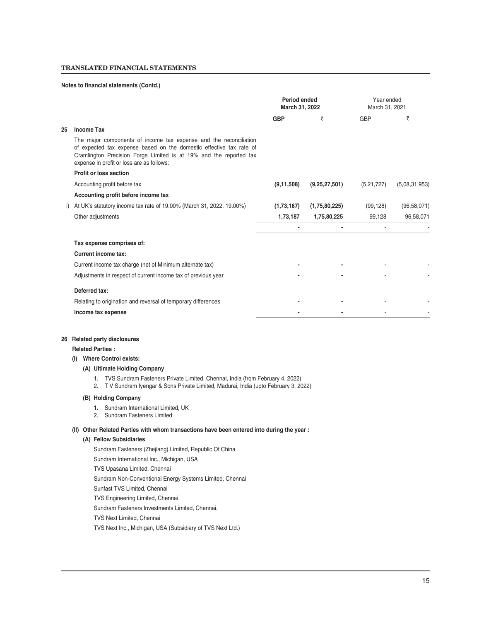### **Notes to financial statements (Contd.)**

|    |                                                                                                                                                                                                                                                             | Period ended<br>March 31, 2022 |               | Year ended<br>March 31, 2021 |               |
|----|-------------------------------------------------------------------------------------------------------------------------------------------------------------------------------------------------------------------------------------------------------------|--------------------------------|---------------|------------------------------|---------------|
|    |                                                                                                                                                                                                                                                             | <b>GBP</b>                     | ₹             | GBP                          | ₹             |
| 25 | <b>Income Tax</b>                                                                                                                                                                                                                                           |                                |               |                              |               |
|    | The major components of income tax expense and the reconciliation<br>of expected tax expense based on the domestic effective tax rate of<br>Cramlington Precision Forge Limited is at 19% and the reported tax<br>expense in profit or loss are as follows: |                                |               |                              |               |
|    | <b>Profit or loss section</b>                                                                                                                                                                                                                               |                                |               |                              |               |
|    | Accounting profit before tax                                                                                                                                                                                                                                | (9, 11, 508)                   | (9,25,27,501) | (5,21,727)                   | (5,08,31,953) |
|    | Accounting profit before income tax                                                                                                                                                                                                                         |                                |               |                              |               |
|    | At UK's statutory income tax rate of 19.00% (March 31, 2022: 19.00%)                                                                                                                                                                                        | (1,73,187)                     | (1,75,80,225) | (99, 128)                    | (96, 58, 071) |
|    | Other adjustments                                                                                                                                                                                                                                           | 1,73,187                       | 1,75,80,225   | 99,128                       | 96,58,071     |
|    |                                                                                                                                                                                                                                                             |                                |               |                              |               |
|    | Tax expense comprises of:                                                                                                                                                                                                                                   |                                |               |                              |               |
|    | <b>Current income tax:</b>                                                                                                                                                                                                                                  |                                |               |                              |               |
|    | Current income tax charge (net of Minimum alternate tax)                                                                                                                                                                                                    |                                |               |                              |               |
|    | Adjustments in respect of current income tax of previous year                                                                                                                                                                                               |                                |               |                              |               |
|    | Deferred tax:                                                                                                                                                                                                                                               |                                |               |                              |               |
|    | Relating to origination and reversal of temporary differences                                                                                                                                                                                               |                                |               |                              |               |
|    | Income tax expense                                                                                                                                                                                                                                          |                                |               |                              |               |

#### **26 Related party disclosures**

### **Related Parties :**

### **(I) Where Control exists:**

### **(A) Ultimate Holding Company**

- 1. TVS Sundram Fasteners Private Limited, Chennai, India (from February 4, 2022)
- 2. T V Sundram Iyengar & Sons Private Limited, Madurai, India (upto February 3, 2022)

#### **(B) Holding Company**

- **1.** Sundram International Limited, UK
- 2. Sundram Fasteners Limited

#### **(II) Other Related Parties with whom transactions have been entered into during the year :**

### **(A) Fellow Subsidiaries**

Sundram Fasteners (Zhejiang) Limited, Republic Of China Sundram International Inc., Michigan, USA TVS Upasana Limited, Chennai Sundram Non-Conventional Energy Systems Limited, Chennai Sunfast TVS Limited, Chennai TVS Engineering Limited, Chennai Sundram Fasteners Investments Limited, Chennai. TVS Next Limited, Chennai TVS Next Inc., Michigan, USA (Subsidiary of TVS Next Ltd.)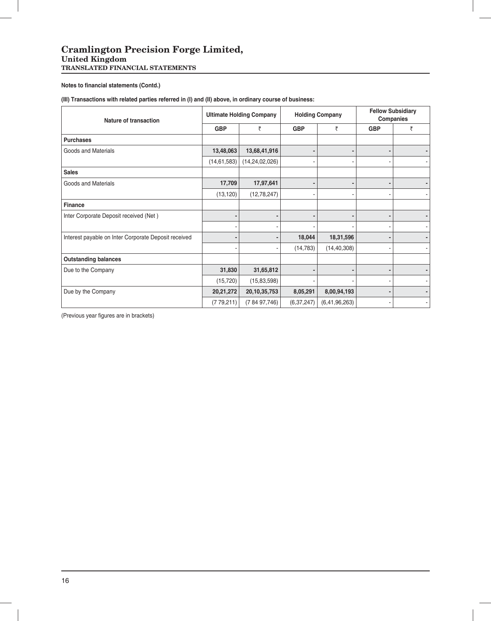**Notes to financial statements (Contd.)** 

**(III) Transactions with related parties referred in (I) and (II) above, in ordinary course of business:**

| <b>Nature of transaction</b>                         |               | <b>Ultimate Holding Company</b> |              | <b>Holding Company</b> | <b>Fellow Subsidiary</b><br><b>Companies</b> |                          |  |
|------------------------------------------------------|---------------|---------------------------------|--------------|------------------------|----------------------------------------------|--------------------------|--|
|                                                      | <b>GBP</b>    | ₹                               | <b>GBP</b>   | ₹                      | <b>GBP</b>                                   | ₹                        |  |
| <b>Purchases</b>                                     |               |                                 |              |                        |                                              |                          |  |
| Goods and Materials                                  | 13,48,063     | 13,68,41,916                    |              |                        |                                              |                          |  |
|                                                      | (14, 61, 583) | (14, 24, 02, 026)               |              |                        |                                              |                          |  |
| <b>Sales</b>                                         |               |                                 |              |                        |                                              |                          |  |
| Goods and Materials                                  | 17,709        | 17,97,641                       |              |                        |                                              |                          |  |
|                                                      | (13, 120)     | (12,78,247)                     |              |                        |                                              |                          |  |
| Finance                                              |               |                                 |              |                        |                                              |                          |  |
| Inter Corporate Deposit received (Net)               |               |                                 |              |                        |                                              |                          |  |
|                                                      |               |                                 |              |                        |                                              |                          |  |
| Interest payable on Inter Corporate Deposit received |               |                                 | 18,044       | 18,31,596              |                                              |                          |  |
|                                                      |               |                                 | (14, 783)    | (14, 40, 308)          |                                              |                          |  |
| <b>Outstanding balances</b>                          |               |                                 |              |                        |                                              |                          |  |
| Due to the Company                                   | 31,830        | 31,65,812                       |              |                        |                                              |                          |  |
|                                                      | (15, 720)     | (15, 83, 598)                   |              |                        |                                              |                          |  |
| Due by the Company                                   | 20,21,272     | 20,10,35,753                    | 8,05,291     | 8,00,94,193            |                                              |                          |  |
|                                                      | (779, 211)    | (78497,746)                     | (6, 37, 247) | (6, 41, 96, 263)       |                                              | $\overline{\phantom{a}}$ |  |

(Previous year figures are in brackets)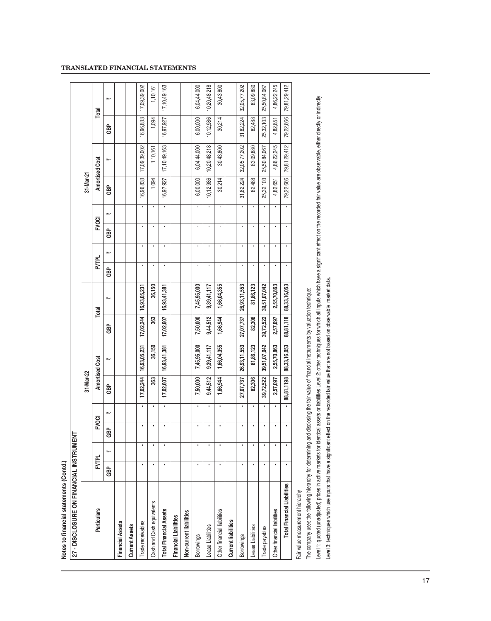| 27 - DISCLOSURE ON FINANCIAL INSTRUMENT |     |              |     |                |            |                |           |              |                |                |              |   |           |                       |           |                 |
|-----------------------------------------|-----|--------------|-----|----------------|------------|----------------|-----------|--------------|----------------|----------------|--------------|---|-----------|-----------------------|-----------|-----------------|
|                                         |     |              |     |                | 31-Mar-22  |                |           |              |                |                |              |   | 31-Mar-21 |                       |           |                 |
| <b>Particulars</b>                      |     | <b>FVTPL</b> | င္စ | $\overline{Q}$ |            | Amortised Cost |           | Total        | <b>FVTPL</b>   |                | <b>FVOCI</b> |   |           | <b>Amortised Cost</b> |           | Total           |
|                                         | GBP | ₩            | GBP | 、              | <b>GBP</b> | 、              | 윤<br>영    | 、            | <b>GB</b>      | 、              | <b>GB</b>    | 、 | GBP       | 、                     | 윤<br>영    | ⊮               |
| <b>Financial Assets</b>                 |     |              |     |                |            |                |           |              |                |                |              |   |           |                       |           |                 |
| <b>Current Assets</b>                   |     |              |     |                |            |                |           |              |                |                |              |   |           |                       |           |                 |
| Trade receivables                       | ×   | ×            |     | ٠              | 17,02,244  | 16,93,05,231   | 17,02,244 | 16,93,05,231 | ٠              | ï              | ï            |   | 16,96,833 | 17,09,39,002          | 16,96,833 | 17,09,39,002    |
| Cash and Cash equivalents               | ٠   |              |     |                | 363        | 36,150         | 363       | 36,150       |                |                |              |   | 1,094     | 1,10,161              | 1,094     | 1,10,161        |
| <b>Total Financial Assets</b>           | t   | ٠            |     | ٠              | 17,02,607  | 16,93,41,381   | 17,02,607 | 16,93,41,381 | ï              | ٠              | ٠            |   | 16,97,927 | 17, 10, 49, 163       | 16,97,927 | 17, 10, 49, 163 |
| <b>Financial Liabilities</b>            |     |              |     |                |            |                |           |              |                |                |              |   |           |                       |           |                 |
| Non-current liabilities                 |     |              |     |                |            |                |           |              |                |                |              |   |           |                       |           |                 |
| Borrowings                              | ٠   | ٠            |     | ٠              | 7,50,000   | 7,45,95,000    | 7,50,000  | 7,45,95,000  | ł.             | ٠              | ï            |   | 6,00,000  | 6,04,44,000           | 6,00,000  | 6,04,44,000     |
| -ease Liabilities                       | ٠   | ٠            |     |                | 9,44,512   | 9,39,41,117    | 9,44,512  | 9,39,41,117  |                |                | ï            |   | 10,12,986 | 10,20,48,218          | 10,12,986 | 10,20,48,218    |
| Other financial liabilities             |     |              |     | ٠              | 1,66,944   | 1,66,04,355    | 1,66,944  | 1,66,04,355  | ٠              | $\blacksquare$ | ٠            |   | 30,214    | 30,43,800             | 30,214    | 30,43,800       |
| <b>Current liabilities</b>              |     |              |     |                |            |                |           |              |                |                |              |   |           |                       |           |                 |
| <b>Borrowings</b>                       | ٠   | ٠            |     | ٠              | 27,07,737  | 26,93,11,553   | 27,07,737 | 26,93,11,553 | ٠              | ï              | ٠            |   | 31,82,224 | 32,05,77,202          | 31,82,224 | 32,05,77,202    |
| ease Liabilities                        | ٠   | ı            |     |                | 82,306     | 81,86,123      | 82,306    | 81,86,123    |                |                |              |   | 82,488    | 83,09,880             | 82,488    | 83,09,880       |
| Trade payables                          |     |              |     |                | 39,72,522  | 39,51,07,042   | 39,72,522 | 39,51,07,042 | $\blacksquare$ | ٠              |              |   | 25,32,103 | 25,50,84,067          | 25,32,103 | 25,50,84,067    |
| Other financial liabilities             | ٠   |              |     |                | 2,57,097   | 2,55,70,863    | 2,57,097  | 2,55,70,863  | ٠              | ٠              | ٠            |   | 4,82,651  | 4,86,22,245           | 4,82,651  | 4,86,22,245     |
| <b>Total Financial Liabilities</b>      | ı   |              |     |                | 88,81,1198 | 88,33,16,053   | 88,81,118 | 88,33,16,053 | ı              | ı              |              |   | 79,22,666 | 79,81,29,412          | 79,22,666 | 79,81,29,412    |
| Fair value measurement hierarchy        |     |              |     |                |            |                |           |              |                |                |              |   |           |                       |           |                 |

Notes to financial statements (Contd.) **Notes to fi nancial statements (Contd.)** The company uses the following hierarchy for determining and disclosing the fair value of financial instruments by valuation technique: The company uses the following hierarchy for determining and disclosing the fair value of fi nancial instruments by valuation technique: Level 1: quoted (unadjusted) prices in active markets for identical assets or liabilities Level 2: other techniques for which all inputs which have a significant effect on the recorded fair value are observable, either dir Level 1: quoted (unadjusted) prices in active markets for identical assets or liabilities Level 2: other techniques for which all inputs which have a significant effect on the recorded fair value are observable, either dir Level 3: techniques which use inputs that have a significant effect on the recorded fair value that are not based on observable market data.

### **TRANSLATED FINANCIAL STATEMENTS**